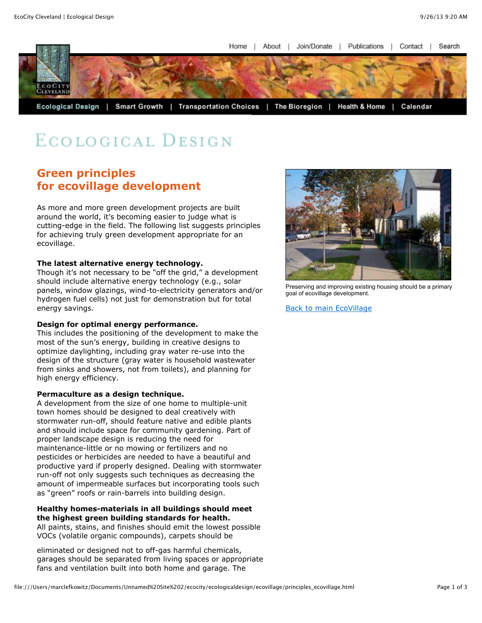Home About I Join/Donate I Publications  $\Box$ Contact J. Search



# ECOLOGICAL DESIGN

# **Green principles for ecovillage development**

As more and more green development projects are built around the world, it's becoming easier to judge what is cutting-edge in the field. The following list suggests principles for achieving truly green development appropriate for an ecovillage.

#### **The latest alternative energy technology.**

Though it's not necessary to be "off the grid," a development should include alternative energy technology (e.g., solar panels, window glazings, wind-to-electricity generators and/or hydrogen fuel cells) not just for demonstration but for total energy savings.

### **Design for optimal energy performance.**

This includes the positioning of the development to make the most of the sun's energy, building in creative designs to optimize daylighting, including gray water re-use into the design of the structure (gray water is household wastewater from sinks and showers, not from toilets), and planning for high energy efficiency.

#### **Permaculture as a design technique.**

A development from the size of one home to multiple-unit town homes should be designed to deal creatively with stormwater run-off, should feature native and edible plants and should include space for community gardening. Part of proper landscape design is reducing the need for maintenance-little or no mowing or fertilizers and no pesticides or herbicides are needed to have a beautiful and productive yard if properly designed. Dealing with stormwater run-off not only suggests such techniques as decreasing the amount of impermeable surfaces but incorporating tools such as "green" roofs or rain-barrels into building design.

#### **Healthy homes-materials in all buildings should meet the highest green building standards for health.**  All paints, stains, and finishes should emit the lowest possible VOCs (volatile organic compounds), carpets should be

eliminated or designed not to off-gas harmful chemicals, garages should be separated from living spaces or appropriate fans and ventilation built into both home and garage. The



Preserving and improving existing housing should be a primary goal of ecovillage development.

[Back to main EcoVillage](file:///Users/marclefkowitz/Documents/Unnamed%20Site%202/ecocity/ecologicaldesign/ecovillage/intro_ecovillage.html)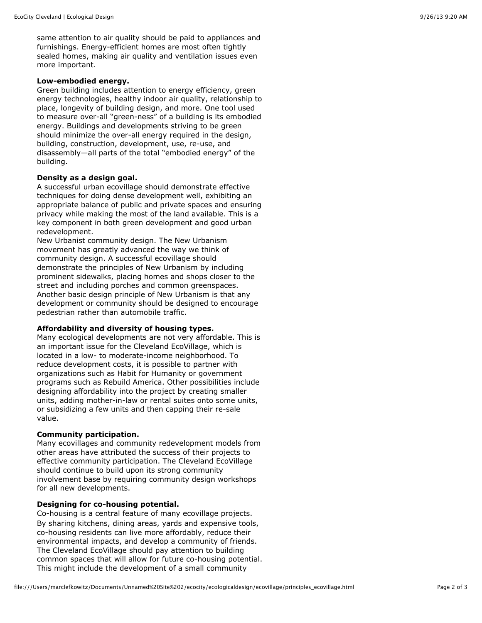same attention to air quality should be paid to appliances and furnishings. Energy-efficient homes are most often tightly sealed homes, making air quality and ventilation issues even more important.

#### **Low-embodied energy.**

Green building includes attention to energy efficiency, green energy technologies, healthy indoor air quality, relationship to place, longevity of building design, and more. One tool used to measure over-all "green-ness" of a building is its embodied energy. Buildings and developments striving to be green should minimize the over-all energy required in the design, building, construction, development, use, re-use, and disassembly—all parts of the total "embodied energy" of the building.

#### **Density as a design goal.**

A successful urban ecovillage should demonstrate effective techniques for doing dense development well, exhibiting an appropriate balance of public and private spaces and ensuring privacy while making the most of the land available. This is a key component in both green development and good urban redevelopment.

New Urbanist community design. The New Urbanism movement has greatly advanced the way we think of community design. A successful ecovillage should demonstrate the principles of New Urbanism by including prominent sidewalks, placing homes and shops closer to the street and including porches and common greenspaces. Another basic design principle of New Urbanism is that any development or community should be designed to encourage pedestrian rather than automobile traffic.

#### **Affordability and diversity of housing types.**

Many ecological developments are not very affordable. This is an important issue for the Cleveland EcoVillage, which is located in a low- to moderate-income neighborhood. To reduce development costs, it is possible to partner with organizations such as Habit for Humanity or government programs such as Rebuild America. Other possibilities include designing affordability into the project by creating smaller units, adding mother-in-law or rental suites onto some units, or subsidizing a few units and then capping their re-sale value.

# **Community participation.**

Many ecovillages and community redevelopment models from other areas have attributed the success of their projects to effective community participation. The Cleveland EcoVillage should continue to build upon its strong community involvement base by requiring community design workshops for all new developments.

#### **Designing for co-housing potential.**

Co-housing is a central feature of many ecovillage projects. By sharing kitchens, dining areas, yards and expensive tools, co-housing residents can live more affordably, reduce their environmental impacts, and develop a community of friends. The Cleveland EcoVillage should pay attention to building common spaces that will allow for future co-housing potential. This might include the development of a small community